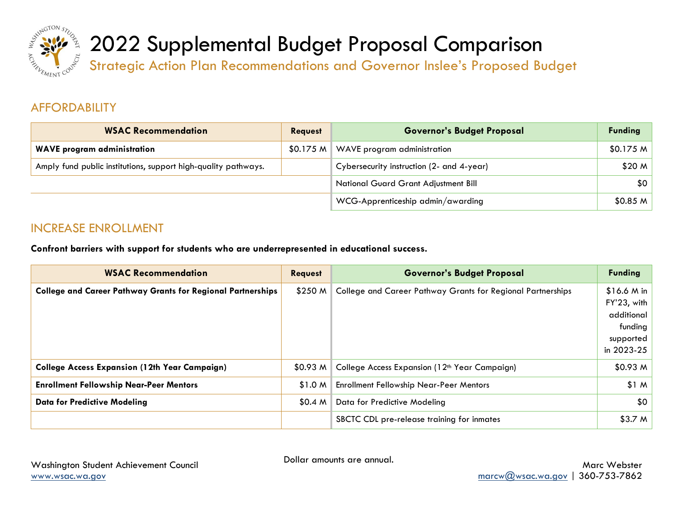

# AFFORDABILITY

| <b>WSAC Recommendation</b>                                     | <b>Request</b> | <b>Governor's Budget Proposal</b>           | <b>Funding</b>      |
|----------------------------------------------------------------|----------------|---------------------------------------------|---------------------|
| <b>WAVE</b> program administration                             | \$0.175 M\$    | WAVE program administration                 | \$0.175 M           |
| Amply fund public institutions, support high-quality pathways. |                | Cybersecurity instruction (2- and 4-year)   | \$20 M              |
|                                                                |                | <b>National Guard Grant Adjustment Bill</b> | \$0                 |
|                                                                |                | WCG-Apprenticeship admin/awarding           | \$0.85 <sub>M</sub> |

### INCREASE ENROLLMENT

**Confront barriers with support for students who are underrepresented in educational success.** 

| <b>WSAC Recommendation</b>                                         | <b>Request</b> | <b>Governor's Budget Proposal</b>                           | <b>Funding</b>                                                                 |
|--------------------------------------------------------------------|----------------|-------------------------------------------------------------|--------------------------------------------------------------------------------|
| <b>College and Career Pathway Grants for Regional Partnerships</b> | \$250 M        | College and Career Pathway Grants for Regional Partnerships | \$16.6 M in<br>FY'23, with<br>additional<br>funding<br>supported<br>in 2023-25 |
| <b>College Access Expansion (12th Year Campaign)</b>               | $$0.93$ M      | College Access Expansion (12 <sup>th</sup> Year Campaign)   | \$0.93 <sub>M</sub>                                                            |
| <b>Enrollment Fellowship Near-Peer Mentors</b>                     | \$1.0 M        | <b>Enrollment Fellowship Near-Peer Mentors</b>              | \$1 M                                                                          |
| <b>Data for Predictive Modeling</b>                                | \$0.4 M        | Data for Predictive Modeling                                | \$0                                                                            |
|                                                                    |                | SBCTC CDL pre-release training for inmates                  | \$3.7 M                                                                        |